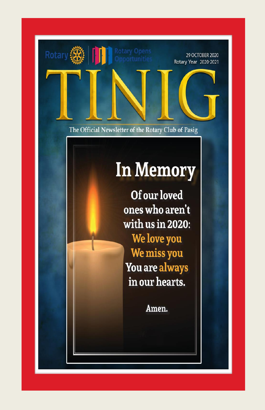

The Official Newsletter of the Rotary Club of Pasig

# **In Memory**

Of our loved ones who aren't with us in 2020: We love you We miss you You are always in our hearts.

Amen.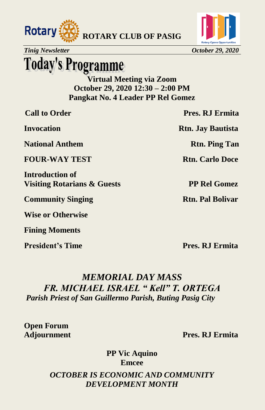



# **Today's Programme**

**Virtual Meeting via Zoom October 29, 2020 12:30 – 2:00 PM Pangkat No. 4 Leader PP Rel Gomez**

**National Anthem Rtn. Ping Tan** 

**FOUR-WAY TEST Rtn. Carlo Doce** 

**Introduction of Visiting Rotarians & Guests PP Rel Gomez**

**Community Singing Rtn. Pal Bolivar** 

**Wise or Otherwise**

**Fining Moments** 

**President's Time Pres. RJ Ermita** 

**Call to Order Pres. RJ Ermita** 

**Invocation Rtn. Jay Bautista** 

#### *MEMORIAL DAY MASS FR. MICHAEL ISRAEL " Kell" T. ORTEGA Parish Priest of San Guillermo Parish, Buting Pasig City*

**Open Forum**

**Adjournment Pres. RJ Ermita**

**PP Vic Aquino Emcee**

*OCTOBER IS ECONOMIC AND COMMUNITY DEVELOPMENT MONTH*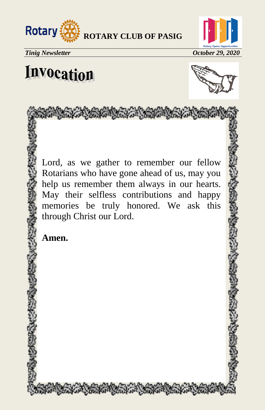



# **Invocation**



Lord, as we gather to remember our fellow Rotarians who have gone ahead of us, may you help us remember them always in our hearts. May their selfless contributions and happy memories be truly honored. We ask this through Christ our Lord.

Control of the Control of Control of Control of Control of Control of Control of Control of Control of Control of Control of Control of Control of Control of Control of Control of Control of Control of Control of Control o

**Amen.**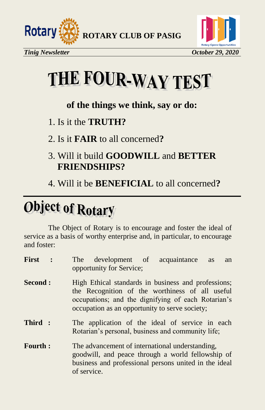





#### **of the things we think, say or do:**

- 1. Is it the **TRUTH?**
- 2. Is it **FAIR** to all concerned**?**
- 3. Will it build **GOODWILL** and **BETTER FRIENDSHIPS?**
- 4. Will it be **BENEFICIAL** to all concerned**?**

# **Object of Rotary**

The Object of Rotary is to encourage and foster the ideal of service as a basis of worthy enterprise and, in particular, to encourage and foster:

| First          | development of acquaintance<br>The<br>as<br>an<br>opportunity for Service;                                                                                                                                     |
|----------------|----------------------------------------------------------------------------------------------------------------------------------------------------------------------------------------------------------------|
| Second :       | High Ethical standards in business and professions;<br>the Recognition of the worthiness of all useful<br>occupations; and the dignifying of each Rotarian's<br>occupation as an opportunity to serve society; |
| Third:         | The application of the ideal of service in each<br>Rotarian's personal, business and community life;                                                                                                           |
| <b>Fourth:</b> | The advancement of international understanding,<br>goodwill, and peace through a world fellowship of<br>business and professional persons united in the ideal<br>of service.                                   |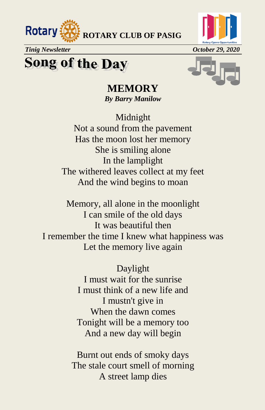

**Song of the Day** 



**MEMORY** *By Barry Manilow*

 **ROTARY CLUB OF PASIG**

Midnight Not a sound from the pavement Has the moon lost her memory She is smiling alone In the lamplight The withered leaves collect at my feet And the wind begins to moan

Memory, all alone in the moonlight I can smile of the old days It was beautiful then I remember the time I knew what happiness was Let the memory live again

> Daylight I must wait for the sunrise I must think of a new life and I mustn't give in When the dawn comes Tonight will be a memory too And a new day will begin

Burnt out ends of smoky days The stale court smell of morning A street lamp dies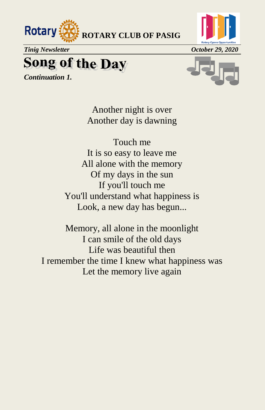



**Song of the Day** 

*Continuation 1.* 



Another night is over Another day is dawning

Touch me It is so easy to leave me All alone with the memory Of my days in the sun If you'll touch me You'll understand what happiness is Look, a new day has begun...

Memory, all alone in the moonlight I can smile of the old days Life was beautiful then I remember the time I knew what happiness was Let the memory live again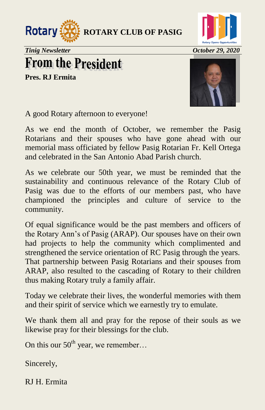



# **From the President**

**Pres. RJ Ermita**



A good Rotary afternoon to everyone!

As we end the month of October, we remember the Pasig Rotarians and their spouses who have gone ahead with our memorial mass officiated by fellow Pasig Rotarian Fr. Kell Ortega and celebrated in the San Antonio Abad Parish church.

As we celebrate our 50th year, we must be reminded that the sustainability and continuous relevance of the Rotary Club of Pasig was due to the efforts of our members past, who have championed the principles and culture of service to the community.

Of equal significance would be the past members and officers of the Rotary Ann's of Pasig (ARAP). Our spouses have on their own had projects to help the community which complimented and strengthened the service orientation of RC Pasig through the years. That partnership between Pasig Rotarians and their spouses from ARAP, also resulted to the cascading of Rotary to their children thus making Rotary truly a family affair.

Today we celebrate their lives, the wonderful memories with them and their spirit of service which we earnestly try to emulate.

We thank them all and pray for the repose of their souls as we likewise pray for their blessings for the club.

On this our  $50<sup>th</sup>$  year, we remember...

Sincerely,

RJ H. Ermita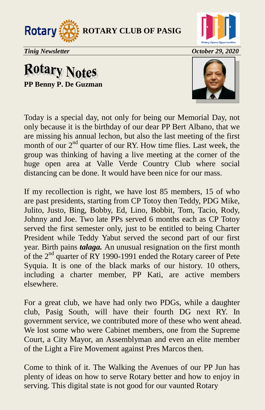



## **Rotary Notes PP Benny P. De Guzman**



Today is a special day, not only for being our Memorial Day, not only because it is the birthday of our dear PP Bert Albano, that we are missing his annual lechon, but also the last meeting of the first month of our  $2<sup>nd</sup>$  quarter of our RY. How time flies. Last week, the group was thinking of having a live meeting at the corner of the huge open area at Valle Verde Country Club where social distancing can be done. It would have been nice for our mass.

If my recollection is right, we have lost 85 members, 15 of who are past presidents, starting from CP Totoy then Teddy, PDG Mike, Julito, Justo, Bing, Bobby, Ed, Lino, Bobbit, Tom, Tacio, Rody, Johnny and Joe. Two late PPs served 6 months each as CP Totoy served the first semester only, just to be entitled to being Charter President while Teddy Yabut served the second part of our first year. Birth pains *talaga.* An unusual resignation on the first month of the  $2<sup>nd</sup>$  quarter of RY 1990-1991 ended the Rotary career of Pete Syquia. It is one of the black marks of our history. 10 others, including a charter member, PP Kati, are active members elsewhere.

For a great club, we have had only two PDGs, while a daughter club, Pasig South, will have their fourth DG next RY. In government service, we contributed more of these who went ahead. We lost some who were Cabinet members, one from the Supreme Court, a City Mayor, an Assemblyman and even an elite member of the Light a Fire Movement against Pres Marcos then.

Come to think of it. The Walking the Avenues of our PP Jun has plenty of ideas on how to serve Rotary better and how to enjoy in serving. This digital state is not good for our vaunted Rotary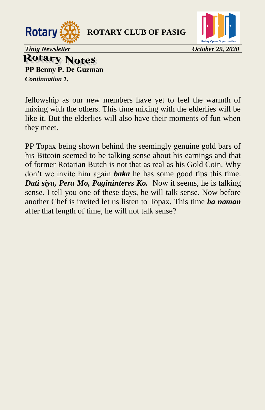



**Rotary Notes PP Benny P. De Guzman**

*Continuation 1.* 

fellowship as our new members have yet to feel the warmth of mixing with the others. This time mixing with the elderlies will be like it. But the elderlies will also have their moments of fun when they meet.

PP Topax being shown behind the seemingly genuine gold bars of his Bitcoin seemed to be talking sense about his earnings and that of former Rotarian Butch is not that as real as his Gold Coin. Why don't we invite him again *baka* he has some good tips this time. *Dati siya, Pera Mo, Pagininteres Ko.* Now it seems, he is talking sense. I tell you one of these days, he will talk sense. Now before another Chef is invited let us listen to Topax. This time *ba naman* after that length of time, he will not talk sense?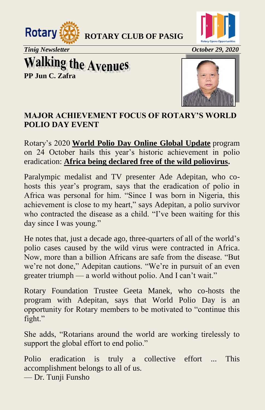



*Tinig Newsletter October 29, 2020*

# **Walking the Avenues**<br>PP Jun C. Zafra



#### **MAJOR ACHIEVEMENT FOCUS OF ROTARY'S WORLD POLIO DAY EVENT**

Rotary's 2020 **[World Polio Day Online Global Update](https://www.youtube.com/watch?v=Rp5Cg1I4OeE&feature=youtu.be)** program on 24 October hails this year's historic achievement in polio eradication: **[Africa being declared free of the wild poliovirus.](https://www.rotary.org/en/african-region-declared-free-of-wild-poliovirus)**

Paralympic medalist and TV presenter Ade Adepitan, who cohosts this year's program, says that the eradication of polio in Africa was personal for him. "Since I was born in Nigeria, this achievement is close to my heart," says Adepitan, a polio survivor who contracted the disease as a child. "I've been waiting for this day since I was young."

He notes that, just a decade ago, three-quarters of all of the world's polio cases caused by the wild virus were contracted in Africa. Now, more than a billion Africans are safe from the disease. "But we're not done," Adepitan cautions. "We're in pursuit of an even greater triumph — a world without polio. And I can't wait."

Rotary Foundation Trustee Geeta Manek, who co-hosts the program with Adepitan, says that World Polio Day is an opportunity for Rotary members to be motivated to "continue this fight."

She adds, "Rotarians around the world are working tirelessly to support the global effort to end polio."

Polio eradication is truly a collective effort ... This accomplishment belongs to all of us.

— Dr. Tunji Funsho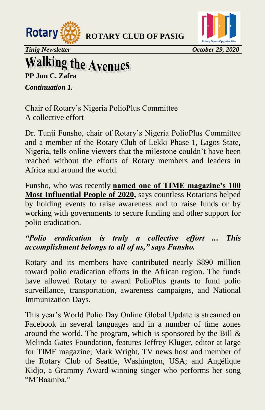



*Tinig Newsletter*  $October 29, 2020$ 

# lking the Avenues

**PP Jun C. Zafra**

*Continuation 1.* 

Chair of Rotary's Nigeria PolioPlus Committee A collective effort

Dr. Tunji Funsho, chair of Rotary's Nigeria PolioPlus Committee and a member of the Rotary Club of Lekki Phase 1, Lagos State, Nigeria, tells online viewers that the milestone couldn't have been reached without the efforts of Rotary members and leaders in Africa and around the world.

Funsho, who was recently **[named one of TIME magazine's 100](https://time.com/collection/100-most-influential-people-2020/)  [Most Influential People of 2020,](https://time.com/collection/100-most-influential-people-2020/)** says countless Rotarians helped by holding events to raise awareness and to raise funds or by working with governments to secure funding and other support for polio eradication.

#### *"Polio eradication is truly a collective effort ... This accomplishment belongs to all of us," says Funsho.*

Rotary and its members have contributed nearly \$890 million toward polio eradication efforts in the African region. The funds have allowed Rotary to award PolioPlus grants to fund polio surveillance, transportation, awareness campaigns, and National Immunization Days.

This year's World Polio Day Online Global Update is streamed on Facebook in several languages and in a number of time zones around the world. The program, which is sponsored by the Bill  $\&$ Melinda Gates Foundation, features Jeffrey Kluger, editor at large for TIME magazine; Mark Wright, TV news host and member of the Rotary Club of Seattle, Washington, USA; and Angélique Kidjo, a Grammy Award-winning singer who performs her song "M'Baamba."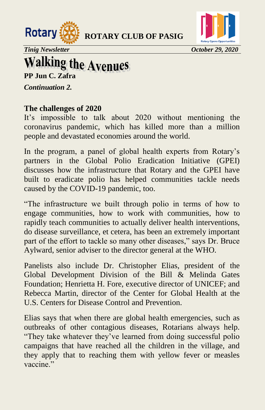



*Tinig Newsletter October 29, 2020* 

# lking the Avenues

**PP Jun C. Zafra**

*Continuation 2.* 

#### **The challenges of 2020**

It's impossible to talk about 2020 without mentioning the coronavirus pandemic, which has killed more than a million people and devastated economies around the world.

In the program, a panel of global health experts from Rotary's partners in the Global Polio Eradication Initiative (GPEI) discusses how the infrastructure that Rotary and the GPEI have built to eradicate polio has helped communities tackle needs caused by the COVID-19 pandemic, too.

―The infrastructure we built through polio in terms of how to engage communities, how to work with communities, how to rapidly teach communities to actually deliver health interventions, do disease surveillance, et cetera, has been an extremely important part of the effort to tackle so many other diseases," says Dr. Bruce Aylward, senior adviser to the director general at the WHO.

Panelists also include Dr. Christopher Elias, president of the Global Development Division of the Bill & Melinda Gates Foundation; Henrietta H. Fore, executive director of UNICEF; and Rebecca Martin, director of the Center for Global Health at the U.S. Centers for Disease Control and Prevention.

Elias says that when there are global health emergencies, such as outbreaks of other contagious diseases, Rotarians always help. "They take whatever they've learned from doing successful polio campaigns that have reached all the children in the village, and they apply that to reaching them with yellow fever or measles vaccine."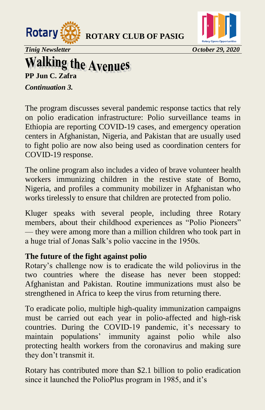



*Tinig Newsletter*  $October 29, 2020$ 

# **Walking the Avenues**

**PP Jun C. Zafra**

*Continuation 3.* 

The program discusses several pandemic response tactics that rely on polio eradication infrastructure: Polio surveillance teams in Ethiopia are reporting COVID-19 cases, and emergency operation centers in Afghanistan, Nigeria, and Pakistan that are usually used to fight polio are now also being used as coordination centers for COVID-19 response.

The online program also includes a video of brave volunteer health workers immunizing children in the restive state of Borno, Nigeria, and profiles a community mobilizer in Afghanistan who works tirelessly to ensure that children are protected from polio.

Kluger speaks with several people, including three Rotary members, about their childhood experiences as "Polio Pioneers" — they were among more than a million children who took part in a huge trial of Jonas Salk's polio vaccine in the 1950s.

#### **The future of the fight against polio**

Rotary's challenge now is to eradicate the wild poliovirus in the two countries where the disease has never been stopped: Afghanistan and Pakistan. Routine immunizations must also be strengthened in Africa to keep the virus from returning there.

To eradicate polio, multiple high-quality immunization campaigns must be carried out each year in polio-affected and high-risk countries. During the COVID-19 pandemic, it's necessary to maintain populations' immunity against polio while also protecting health workers from the coronavirus and making sure they don't transmit it.

Rotary has contributed more than \$2.1 billion to polio eradication since it launched the PolioPlus program in 1985, and it's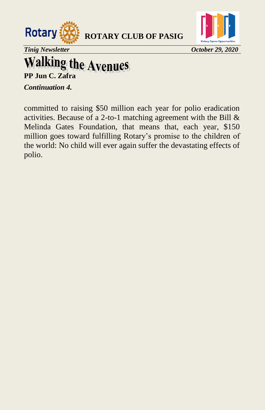



*Tinig Newsletter October 29, 2020* 

# **Walking the Avenues**

*Continuation 4.* 

committed to raising \$50 million each year for polio eradication activities. Because of a 2-to-1 matching agreement with the Bill & Melinda Gates Foundation, that means that, each year, \$150 million goes toward fulfilling Rotary's promise to the children of the world: No child will ever again suffer the devastating effects of polio.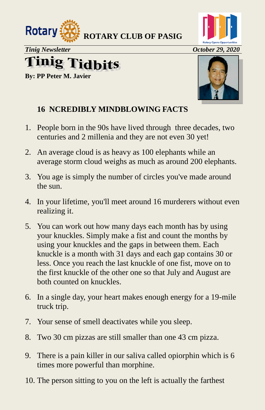



# **Tinig Tidbits**

**By: PP Peter M. Javier**



#### **16 NCREDIBLY MINDBLOWING FACTS**

- 1. People born in the 90s have lived through three decades, two centuries and 2 millenia and they are not even 30 yet!
- 2. An average cloud is as heavy as 100 elephants while an average storm cloud weighs as much as around 200 elephants.
- 3. You age is simply the number of circles you've made around the sun.
- 4. In your lifetime, you'll meet around 16 murderers without even realizing it.
- 5. You can work out how many days each month has by using your knuckles. Simply make a fist and count the months by using your knuckles and the gaps in between them. Each knuckle is a month with 31 days and each gap contains 30 or less. Once you reach the last knuckle of one fist, move on to the first knuckle of the other one so that July and August are both counted on knuckles.
- 6. In a single day, your heart makes enough energy for a 19-mile truck trip.
- 7. Your sense of smell deactivates while you sleep.
- 8. Two 30 cm pizzas are still smaller than one 43 cm pizza.
- 9. There is a pain killer in our saliva called opiorphin which is 6 times more powerful than morphine.
- 10. The person sitting to you on the left is actually the farthest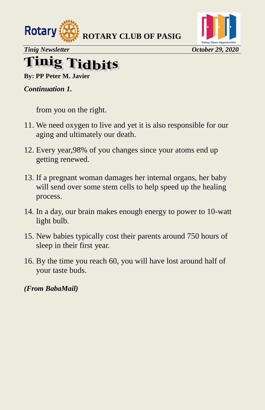



#### rinig 7 *<u>Fidhits</u>*

**By: PP Peter M. Javier**

#### *Continuation 1.*

from you on the right.

- 11. We need oxygen to live and yet it is also responsible for our aging and ultimately our death.
- 12. Every year,98% of you changes since your atoms end up getting renewed.
- 13. If a pregnant woman damages her internal organs, her baby will send over some stem cells to help speed up the healing process.
- 14. In a day, our brain makes enough energy to power to 10-watt light bulb.
- 15. New babies typically cost their parents around 750 hours of sleep in their first year.
- 16. By the time you reach 60, you will have lost around half of your taste buds.

*(From BabaMail)*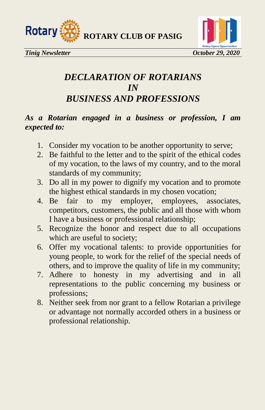



### *DECLARATION OF ROTARIANS IN BUSINESS AND PROFESSIONS*

#### *As a Rotarian engaged in a business or profession, I am expected to:*

- 1. Consider my vocation to be another opportunity to serve;
- 2. Be faithful to the letter and to the spirit of the ethical codes of my vocation, to the laws of my country, and to the moral standards of my community;
- 3. Do all in my power to dignify my vocation and to promote the highest ethical standards in my chosen vocation;
- 4. Be fair to my employer, employees, associates, competitors, customers, the public and all those with whom I have a business or professional relationship;
- 5. Recognize the honor and respect due to all occupations which are useful to society;
- 6. Offer my vocational talents: to provide opportunities for young people, to work for the relief of the special needs of others, and to improve the quality of life in my community;
- 7. Adhere to honesty in my advertising and in all representations to the public concerning my business or professions;
- 8. Neither seek from nor grant to a fellow Rotarian a privilege or advantage not normally accorded others in a business or professional relationship.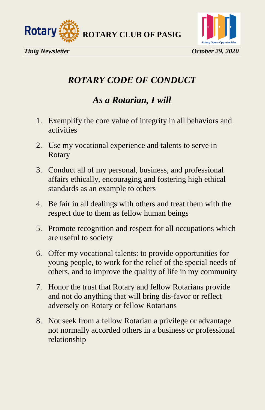



### *ROTARY CODE OF CONDUCT*

### *As a Rotarian, I will*

- 1. Exemplify the core value of integrity in all behaviors and activities
- 2. Use my vocational experience and talents to serve in Rotary
- 3. Conduct all of my personal, business, and professional affairs ethically, encouraging and fostering high ethical standards as an example to others
- 4. Be fair in all dealings with others and treat them with the respect due to them as fellow human beings
- 5. Promote recognition and respect for all occupations which are useful to society
- 6. Offer my vocational talents: to provide opportunities for young people, to work for the relief of the special needs of others, and to improve the quality of life in my community
- 7. Honor the trust that Rotary and fellow Rotarians provide and not do anything that will bring dis-favor or reflect adversely on Rotary or fellow Rotarians
- 8. Not seek from a fellow Rotarian a privilege or advantage not normally accorded others in a business or professional relationship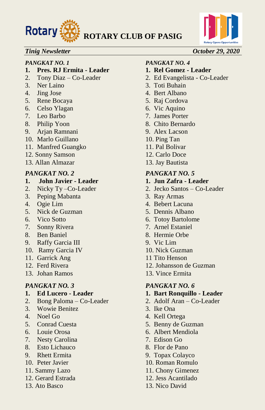



#### *PANGKAT NO. 1 PANGKAT NO. 4*

- **1. Pres. RJ Ermita - Leader 1. Rel Gomez - Leader**
- 
- 
- 
- 5. Rene Bocaya 5. Raj Cordova
- 6. Celso Ylagan 6. Vic Aquino
- 
- 
- 9. Arjan Ramnani 9. Alex Lacson
- 10. Marlo Guillano 10. Ping Tan
- 11. Manfred Guangko 11. Pal Bolivar
- 12. Sonny Samson 12. Carlo Doce
- 13. Allan Almazar 13. Jay Bautista

- **1. John Javier - Leader 1. Jun Zafra - Leader**
- 
- 3. Peping Mabanta 3. Ray Armas
- 
- 5. Nick de Guzman 5. Dennis Albano
- 
- 7. Sonny Rivera 7. Arnel Estaniel
- 8. Ben Baniel 8. Hermie Orbe
- 9. Raffy Garcia III 9. Vic Lim
- 10. Ramy Garcia IV 10. Nick Guzman
- 11. Garrick Ang 11 Tito Henson
- 
- 

- 
- 2. Bong Paloma Co-Leader 2. Adolf Aran Co-Leader
- 3. Wowie Benitez 3. Ike Ona
- 
- 
- 
- 7. Nesty Carolina 7. Edison Go
- 8. Esto Lichauco 8. Flor de Pano
- 
- 
- 
- 
- 

#### *Tinig Newsletter October 29, 2020*

- 2. Tony Diaz Co-Leader 2. Ed Evangelista Co-Leader
- 3. Ner Laino 3. Toti Buhain
- 4. Jing Jose 4. Bert Albano
	-
	-
- 7. Leo Barbo 7. James Porter
- 8. Philip Yoon 8. Chito Bernardo
	-
	-
	-
	-
	-

#### *PANGKAT NO. 2 PANGKAT NO. 5*

- 
- 2. Nicky Ty –Co-Leader 2. Jecko Santos Co-Leader
	-
- 4. Ogie Lim 4. Bebert Lacuna
	-
- 6. Vico Sotto 6. Totoy Bartolome
	-
	-
	-
	-
	-
- 12. Ferd Rivera 12. Johansson de Guzman
- 13. Johan Ramos 13. Vince Ermita

#### *PANGKAT NO. 3 PANGKAT NO. 6*

- **1. Ed Lucero - Leader 1. Bart Ronquillo - Leader**
	-
	-
- 4. Noel Go 4. Kell Ortega
- 5. Conrad Cuesta 5. Benny de Guzman
- 6. Louie Orosa 6. Albert Mendiola
	-
	-
- 9. Rhett Ermita 9. Topax Colayco
- 10. Peter Javier 10. Roman Romulo
- 11. Sammy Lazo 11. Chony Gimenez
- 12. Gerard Estrada 12. Jess Acantilado
- 13. Ato Basco 13. Nico David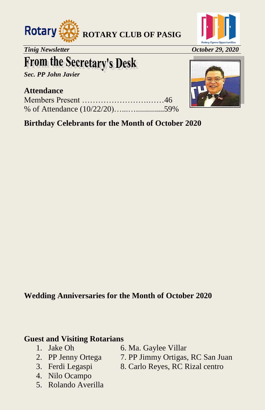



*Tinig Newsletter October 29, 2020* 

# **From the Secretary's Desk**

*Sec. PP John Javier* 

#### **Attendance**

**Birthday Celebrants for the Month of October 2020**



#### **Wedding Anniversaries for the Month of October 2020**

#### **Guest and Visiting Rotarians**

- 
- 
- 
- 4. Nilo Ocampo
- 5. Rolando Averilla
- 1. Jake Oh 6. Ma. Gaylee Villar
- 2. PP Jenny Ortega 7. PP Jimmy Ortigas, RC San Juan
- 3. Ferdi Legaspi 8. Carlo Reyes, RC Rizal centro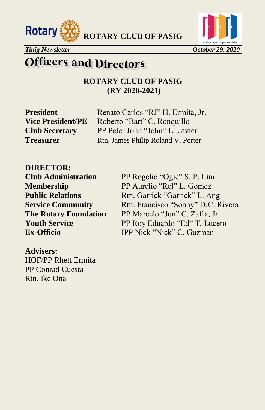



## **Officers and Directors**

#### **ROTARY CLUB OF PASIG (RY 2020-2021)**

**President** Renato Carlos "RJ" H. Ermita, Jr. **Vice President/PE** Roberto "Bart" C. Ronquillo **Club Secretary** PP Peter John "John" U. Javier **Treasurer** Rtn. James Philip Roland V. Porter

**DIRECTOR:**

**Club Administration** PP Rogelio "Ogie" S. P. Lim **Membership** PP Aurelio "Rel" L. Gomez **Public Relations** Rtn. Garrick "Garrick" L. Ang **Service Community** Rtn. Francisco "Sonny" D.C. Rivera **The Rotary Foundation** PP Marcelo "Jun" C. Zafra, Jr.<br> **Youth Service** PP Rov Eduardo "Ed" T. Luce **PP Roy Eduardo "Ed" T. Lucero Ex-Officio IPP Nick "Nick" C. Guzman** 

**Advisers:** HOF/PP Rhett Ermita PP Conrad Cuesta Rtn. Ike Ona